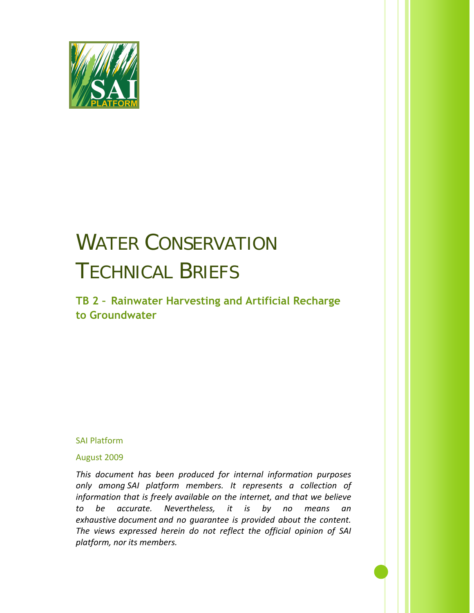

# WATER CONSERVATION TECHNICAL BRIEFS

**TB 2 – Rainwater Harvesting and Artificial Recharge to Groundwater**

SAI Platform

August 2009

*This document has been produced for internal information purposes only among SAI platform members. It represents a collection of information that is freely available on the internet, and that we believe to be accurate. Nevertheless, it is by no means an exhaustive document and no guarantee is provided about the content. The views expressed herein do not reflect the official opinion of SAI platform, nor its members.*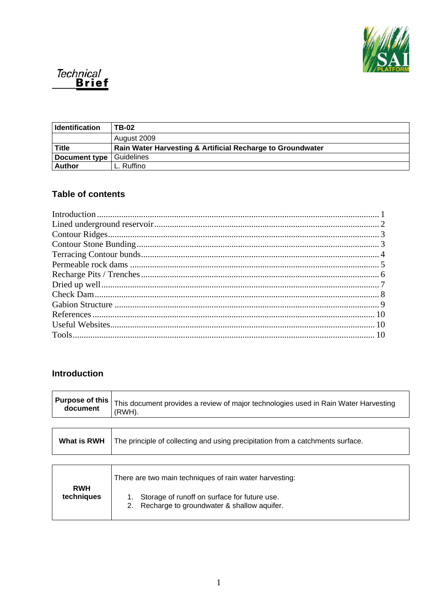



| <b>Identification</b> | <b>TB-02</b>                                               |
|-----------------------|------------------------------------------------------------|
|                       | August 2009                                                |
| <b>Title</b>          | Rain Water Harvesting & Artificial Recharge to Groundwater |
| Document type         | Guidelines                                                 |
| <b>Author</b>         | Ruffino                                                    |

## **Table of contents**

## <span id="page-1-0"></span>**Introduction**

| <b>Purpose of this</b><br>document | This document provides a review of major technologies used in Rain Water Harvesting<br>(RWH). |  |  |
|------------------------------------|-----------------------------------------------------------------------------------------------|--|--|
|                                    |                                                                                               |  |  |
| What is RWH                        | The principle of collecting and using precipitation from a catchments surface.                |  |  |

| <b>RWH</b> | There are two main techniques of rain water harvesting:                                          |  |
|------------|--------------------------------------------------------------------------------------------------|--|
| techniques | 1. Storage of runoff on surface for future use.<br>2. Recharge to groundwater & shallow aquifer. |  |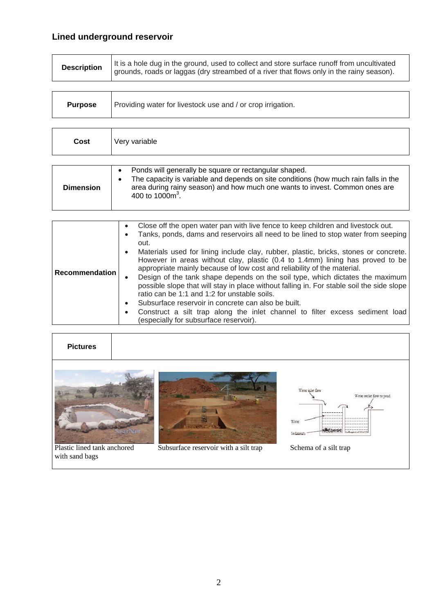# <span id="page-2-0"></span>**Lined underground reservoir**

| <b>Purpose</b> | Providing water for livestock use and / or crop irrigation. |
|----------------|-------------------------------------------------------------|
|----------------|-------------------------------------------------------------|

| Cost | Very variable |
|------|---------------|
|      |               |

| <b>Dimension</b> | Ponds will generally be square or rectangular shaped.<br>The capacity is variable and depends on site conditions (how much rain falls in the<br>area during rainy season) and how much one wants to invest. Common ones are<br>400 to 1000 $\text{m}^3$ . |
|------------------|-----------------------------------------------------------------------------------------------------------------------------------------------------------------------------------------------------------------------------------------------------------|

| <b>Pictures</b>             |                                       |                              |                                                |
|-----------------------------|---------------------------------------|------------------------------|------------------------------------------------|
|                             |                                       | Water inlet flow<br>Sediment | Water outlet flow to poud<br>A contract of the |
| Plastic lined tank anchored | Subsurface reservoir with a silt trap | Schema of a silt trap        |                                                |
| with sand bags              |                                       |                              |                                                |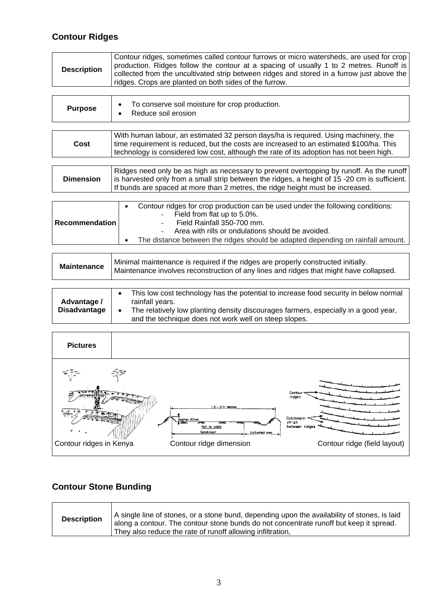## <span id="page-3-0"></span>**Contour Ridges**

| <b>Purpose</b> | To conserve soil moisture for crop production.<br>Reduce soil erosion               |
|----------------|-------------------------------------------------------------------------------------|
|                |                                                                                     |
|                | With human labour, an estimated 32 person days/ha is required. Using machinery, the |

| Cost | time requirement is reduced, but the costs are increased to an estimated \$100/ha. This<br>technology is considered low cost, although the rate of its adoption has not been high. |
|------|------------------------------------------------------------------------------------------------------------------------------------------------------------------------------------|
|      |                                                                                                                                                                                    |
|      | $\Box$ Didges need only he so high so necessary to provent overtopping by runoff. As the runoff                                                                                    |

| <b>Dimension</b> | Ridges need only be as high as necessary to prevent overtopping by runoff. As the runoff<br>is harvested only from a small strip between the ridges, a height of 15 -20 cm is sufficient.<br>If bunds are spaced at more than 2 metres, the ridge height must be increased. |
|------------------|-----------------------------------------------------------------------------------------------------------------------------------------------------------------------------------------------------------------------------------------------------------------------------|
|                  |                                                                                                                                                                                                                                                                             |

|                       | Contour ridges for crop production can be used under the following conditions:  |
|-----------------------|---------------------------------------------------------------------------------|
| <b>Recommendation</b> | - Field from flat up to 5.0%.                                                   |
|                       | Field Rainfall 350-700 mm.                                                      |
|                       | - Area with rills or ondulations should be avoided.                             |
|                       | The distance between the ridges should be adapted depending on rainfall amount. |

| <b>Maintenance</b>                 | Minimal maintenance is required if the ridges are properly constructed initially.<br>Maintenance involves reconstruction of any lines and ridges that might have collapsed.                                                                                          |
|------------------------------------|----------------------------------------------------------------------------------------------------------------------------------------------------------------------------------------------------------------------------------------------------------------------|
|                                    |                                                                                                                                                                                                                                                                      |
| Advantage /<br><b>Disadvantage</b> | This low cost technology has the potential to increase food security in below normal<br>rainfall years.<br>The relatively low planting density discourages farmers, especially in a good year,<br>$\bullet$<br>and the technique does not work well on steep slopes. |



## <span id="page-3-1"></span>**Contour Stone Bunding**

| They also reduce the rate of runoff allowing infiltration, |
|------------------------------------------------------------|
|------------------------------------------------------------|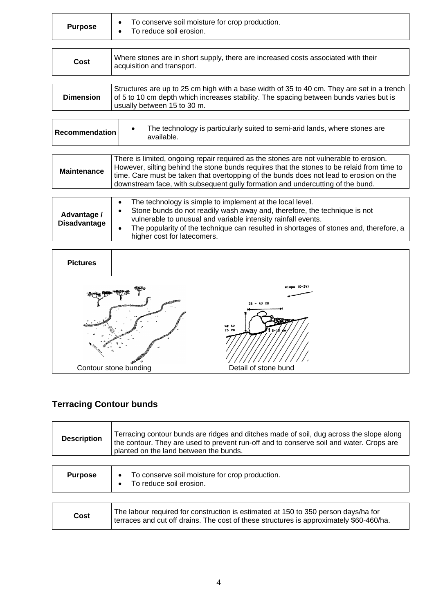| To conserve soil moisture for crop production.<br><b>Purpose</b><br>To reduce soil erosion. |  |
|---------------------------------------------------------------------------------------------|--|
|---------------------------------------------------------------------------------------------|--|

| Cost             | Where stones are in short supply, there are increased costs associated with their<br>acquisition and transport.                                                                                                     |
|------------------|---------------------------------------------------------------------------------------------------------------------------------------------------------------------------------------------------------------------|
|                  |                                                                                                                                                                                                                     |
| <b>Dimension</b> | Structures are up to 25 cm high with a base width of 35 to 40 cm. They are set in a trench<br>of 5 to 10 cm depth which increases stability. The spacing between bunds varies but is<br>usually between 15 to 30 m. |
|                  |                                                                                                                                                                                                                     |
|                  |                                                                                                                                                                                                                     |

| <b>Recommendation</b>              | The technology is particularly suited to semi-arid lands, where stones are<br>available.                                                                                                                                                                                                                                                                         |
|------------------------------------|------------------------------------------------------------------------------------------------------------------------------------------------------------------------------------------------------------------------------------------------------------------------------------------------------------------------------------------------------------------|
|                                    |                                                                                                                                                                                                                                                                                                                                                                  |
| <b>Maintenance</b>                 | There is limited, ongoing repair required as the stones are not vulnerable to erosion.<br>However, silting behind the stone bunds requires that the stones to be relaid from time to<br>time. Care must be taken that overtopping of the bunds does not lead to erosion on the<br>downstream face, with subsequent gully formation and undercutting of the bund. |
|                                    |                                                                                                                                                                                                                                                                                                                                                                  |
| Advantage /<br><b>Disadvantage</b> | The technology is simple to implement at the local level.<br>Stone bunds do not readily wash away and, therefore, the technique is not<br>vulnerable to unusual and variable intensity rainfall events.<br>The popularity of the technique can resulted in shortages of stones and, therefore, a<br>٠<br>higher cost for latecomers.                             |



# <span id="page-4-0"></span>**Terracing Contour bunds**

| <b>Description</b> | Terracing contour bunds are ridges and ditches made of soil, dug across the slope along<br>the contour. They are used to prevent run-off and to conserve soil and water. Crops are<br>planted on the land between the bunds. |
|--------------------|------------------------------------------------------------------------------------------------------------------------------------------------------------------------------------------------------------------------------|
| <b>Purpose</b>     | To conserve soil moisture for crop production.<br>$\bullet$<br>To reduce soil erosion.<br>$\bullet$                                                                                                                          |
|                    | The labour required for construction is estimated at 150 to 350 person days/ba for                                                                                                                                           |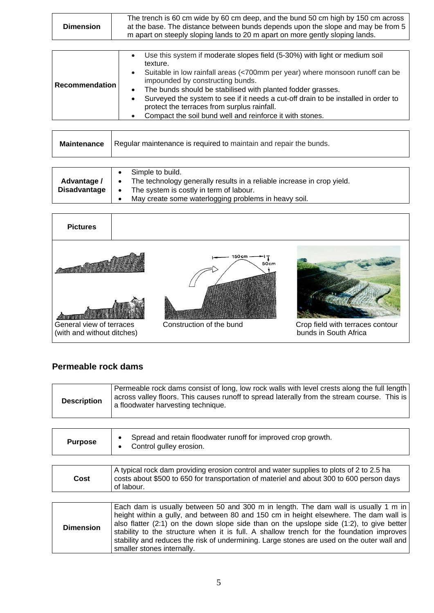| <b>Dimension</b> | The trench is 60 cm wide by 60 cm deep, and the bund 50 cm high by 150 cm across<br>at the base. The distance between bunds depends upon the slope and may be from 5<br>m apart on steeply sloping lands to 20 m apart on more gently sloping lands. |
|------------------|------------------------------------------------------------------------------------------------------------------------------------------------------------------------------------------------------------------------------------------------------|
|------------------|------------------------------------------------------------------------------------------------------------------------------------------------------------------------------------------------------------------------------------------------------|

| Recommendation | Use this system if moderate slopes field (5-30%) with light or medium soil<br>texture.<br>Suitable in low rainfall areas (<700mm per year) where monsoon runoff can be<br>impounded by constructing bunds.<br>The bunds should be stabilised with planted fodder grasses.<br>Surveyed the system to see if it needs a cut-off drain to be installed in order to<br>protect the terraces from surplus rainfall. |
|----------------|----------------------------------------------------------------------------------------------------------------------------------------------------------------------------------------------------------------------------------------------------------------------------------------------------------------------------------------------------------------------------------------------------------------|
|                | Compact the soil bund well and reinforce it with stones.                                                                                                                                                                                                                                                                                                                                                       |

|  | <b>Maintenance</b>   Regular maintenance is required to maintain and repair the bunds. |
|--|----------------------------------------------------------------------------------------|
|--|----------------------------------------------------------------------------------------|

| Advantage /<br>٠<br><b>Disadvantage</b><br>٠<br>٠ | Simple to build.<br>The technology generally results in a reliable increase in crop yield.<br>The system is costly in term of labour.<br>May create some waterlogging problems in heavy soil. |
|---------------------------------------------------|-----------------------------------------------------------------------------------------------------------------------------------------------------------------------------------------------|
|---------------------------------------------------|-----------------------------------------------------------------------------------------------------------------------------------------------------------------------------------------------|



## <span id="page-5-0"></span>**Permeable rock dams**

| <b>Description</b> | Permeable rock dams consist of long, low rock walls with level crests along the full length<br>  across valley floors. This causes runoff to spread laterally from the stream course. This is  <br>a floodwater harvesting technique. |  |
|--------------------|---------------------------------------------------------------------------------------------------------------------------------------------------------------------------------------------------------------------------------------|--|
|--------------------|---------------------------------------------------------------------------------------------------------------------------------------------------------------------------------------------------------------------------------------|--|

| <b>Purpose</b>   | Spread and retain floodwater runoff for improved crop growth.<br>Control gulley erosion.                                                                                                                                                                                                                                                                                                                                                                                                             |
|------------------|------------------------------------------------------------------------------------------------------------------------------------------------------------------------------------------------------------------------------------------------------------------------------------------------------------------------------------------------------------------------------------------------------------------------------------------------------------------------------------------------------|
|                  | A typical rock dam providing erosion control and water supplies to plots of 2 to 2.5 ha                                                                                                                                                                                                                                                                                                                                                                                                              |
| Cost             | costs about \$500 to 650 for transportation of materiel and about 300 to 600 person days<br>of labour.                                                                                                                                                                                                                                                                                                                                                                                               |
|                  |                                                                                                                                                                                                                                                                                                                                                                                                                                                                                                      |
| <b>Dimension</b> | Each dam is usually between 50 and 300 m in length. The dam wall is usually 1 m in<br>height within a gully, and between 80 and 150 cm in height elsewhere. The dam wall is<br>also flatter $(2:1)$ on the down slope side than on the upslope side $(1:2)$ , to give better<br>stability to the structure when it is full. A shallow trench for the foundation improves<br>stability and reduces the risk of undermining. Large stones are used on the outer wall and<br>smaller stones internally. |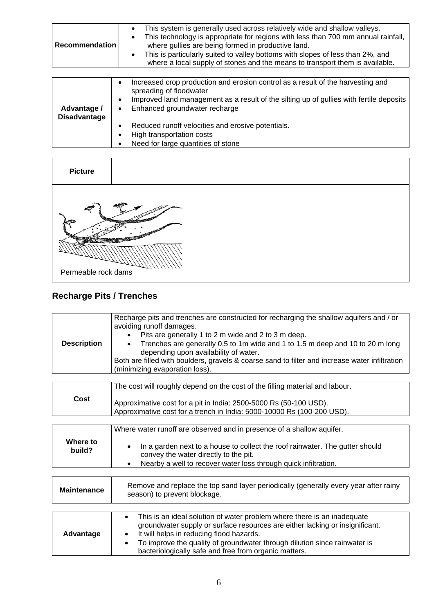| <b>Recommendation</b> | This system is generally used across relatively wide and shallow valleys.<br>This technology is appropriate for regions with less than 700 mm annual rainfall,<br>where gullies are being formed in productive land.<br>This is particularly suited to valley bottoms with slopes of less than 2%, and<br>where a local supply of stones and the means to transport them is available. |
|-----------------------|----------------------------------------------------------------------------------------------------------------------------------------------------------------------------------------------------------------------------------------------------------------------------------------------------------------------------------------------------------------------------------------|
|                       |                                                                                                                                                                                                                                                                                                                                                                                        |
|                       | Increased crop production and erosion control as a result of the harvesting and<br>enreading of floodwater                                                                                                                                                                                                                                                                             |

| Advantage /<br><b>Disadvantage</b> | spreading of floodwater<br>Improved land management as a result of the silting up of gullies with fertile deposits<br>Enhanced groundwater recharge |
|------------------------------------|-----------------------------------------------------------------------------------------------------------------------------------------------------|
|                                    | Reduced runoff velocities and erosive potentials.                                                                                                   |
|                                    | High transportation costs                                                                                                                           |
|                                    | Need for large quantities of stone                                                                                                                  |

| <b>Picture</b>      |  |
|---------------------|--|
|                     |  |
| Permeable rock dams |  |

# <span id="page-6-0"></span>**Recharge Pits / Trenches**

| <b>Description</b> | Recharge pits and trenches are constructed for recharging the shallow aquifers and / or<br>avoiding runoff damages.<br>Pits are generally 1 to 2 m wide and 2 to 3 m deep.<br>Trenches are generally 0.5 to 1m wide and 1 to 1.5 m deep and 10 to 20 m long<br>depending upon availability of water.<br>Both are filled with boulders, gravels & coarse sand to filter and increase water infiltration<br>(minimizing evaporation loss). |
|--------------------|------------------------------------------------------------------------------------------------------------------------------------------------------------------------------------------------------------------------------------------------------------------------------------------------------------------------------------------------------------------------------------------------------------------------------------------|
|                    |                                                                                                                                                                                                                                                                                                                                                                                                                                          |
| Cost               | The cost will roughly depend on the cost of the filling material and labour.<br>Approximative cost for a pit in India: 2500-5000 Rs (50-100 USD).<br>Approximative cost for a trench in India: 5000-10000 Rs (100-200 USD).                                                                                                                                                                                                              |
|                    |                                                                                                                                                                                                                                                                                                                                                                                                                                          |
| Where to<br>build? | Where water runoff are observed and in presence of a shallow aquifer.<br>In a garden next to a house to collect the roof rainwater. The gutter should<br>convey the water directly to the pit.<br>Nearby a well to recover water loss through quick infiltration.                                                                                                                                                                        |
|                    |                                                                                                                                                                                                                                                                                                                                                                                                                                          |
| <b>Maintenance</b> | Remove and replace the top sand layer periodically (generally every year after rainy<br>season) to prevent blockage.                                                                                                                                                                                                                                                                                                                     |
|                    |                                                                                                                                                                                                                                                                                                                                                                                                                                          |
| Advantage          | This is an ideal solution of water problem where there is an inadequate<br>$\bullet$<br>groundwater supply or surface resources are either lacking or insignificant.<br>It will helps in reducing flood hazards.                                                                                                                                                                                                                         |

| dvantage | It will helps in reducing flood hazards.                                  |
|----------|---------------------------------------------------------------------------|
|          | To improve the quality of groundwater through dilution since rainwater is |
|          | bacteriologically safe and free from organic matters.                     |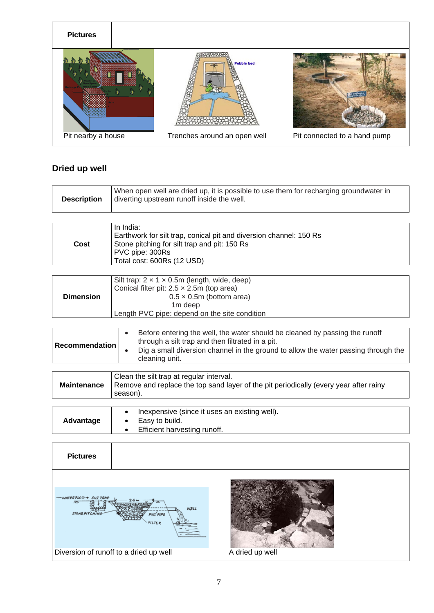

### <span id="page-7-0"></span>**Dried up well**

| <b>Description</b> | When open well are dried up, it is possible to use them for recharging groundwater in<br>diverting upstream runoff inside the well. |
|--------------------|-------------------------------------------------------------------------------------------------------------------------------------|
|                    |                                                                                                                                     |

| Cost | In India:<br>Earthwork for silt trap, conical pit and diversion channel: 150 Rs<br>Stone pitching for silt trap and pit: 150 Rs<br>PVC pipe: 300Rs<br>Total cost: 600Rs (12 USD) |
|------|----------------------------------------------------------------------------------------------------------------------------------------------------------------------------------|
|------|----------------------------------------------------------------------------------------------------------------------------------------------------------------------------------|

| <b>Dimension</b> | Silt trap: $2 \times 1 \times 0.5$ m (length, wide, deep)<br>Conical filter pit: $2.5 \times 2.5$ m (top area)<br>$0.5 \times 0.5$ m (bottom area)<br>1 <sub>m</sub> deep<br>Length PVC pipe: depend on the site condition |
|------------------|----------------------------------------------------------------------------------------------------------------------------------------------------------------------------------------------------------------------------|
|------------------|----------------------------------------------------------------------------------------------------------------------------------------------------------------------------------------------------------------------------|

| <b>Recommendation</b> | Before entering the well, the water should be cleaned by passing the runoff<br>through a silt trap and then filtrated in a pit.<br>Dig a small diversion channel in the ground to allow the water passing through the<br>cleaning unit. |
|-----------------------|-----------------------------------------------------------------------------------------------------------------------------------------------------------------------------------------------------------------------------------------|
|                       |                                                                                                                                                                                                                                         |

| season). |
|----------|
|----------|

| Advantage | Inexpensive (since it uses an existing well).<br>Easy to build.<br>Efficient harvesting runoff. |
|-----------|-------------------------------------------------------------------------------------------------|
|-----------|-------------------------------------------------------------------------------------------------|

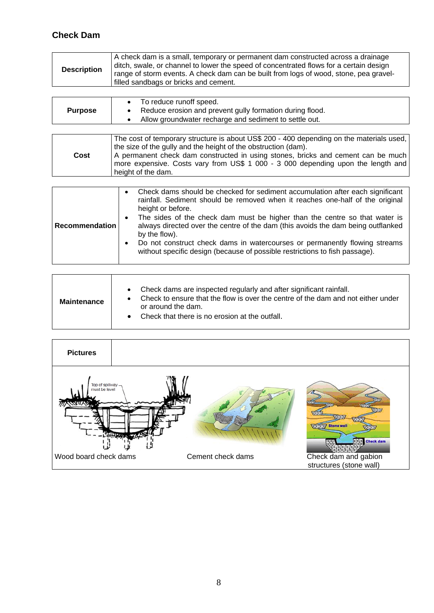## <span id="page-8-0"></span>**Check Dam**

| A check dam is a small, temporary or permanent dam constructed across a drainage<br>ditch, swale, or channel to lower the speed of concentrated flows for a certain design<br><b>Description</b><br>range of storm events. A check dam can be built from logs of wood, stone, pea gravel-<br>I filled sandbags or bricks and cement. |  |
|--------------------------------------------------------------------------------------------------------------------------------------------------------------------------------------------------------------------------------------------------------------------------------------------------------------------------------------|--|
|--------------------------------------------------------------------------------------------------------------------------------------------------------------------------------------------------------------------------------------------------------------------------------------------------------------------------------------|--|

|                | To reduce runoff speed.                                  |
|----------------|----------------------------------------------------------|
| <b>Purpose</b> | Reduce erosion and prevent gully formation during flood. |
|                | Allow groundwater recharge and sediment to settle out.   |

| The cost of temporary structure is about US\$ 200 - 400 depending on the materials used,<br>the size of the gully and the height of the obstruction (dam).<br>A permanent check dam constructed in using stones, bricks and cement can be much<br>Cost<br>more expensive. Costs vary from US\$ 1 000 - 3 000 depending upon the length and<br>height of the dam. |
|------------------------------------------------------------------------------------------------------------------------------------------------------------------------------------------------------------------------------------------------------------------------------------------------------------------------------------------------------------------|
|------------------------------------------------------------------------------------------------------------------------------------------------------------------------------------------------------------------------------------------------------------------------------------------------------------------------------------------------------------------|

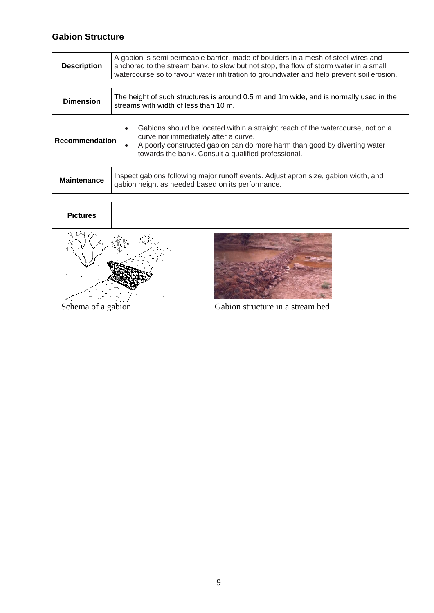## <span id="page-9-0"></span>**Gabion Structure**

| A gabion is semi permeable barrier, made of boulders in a mesh of steel wires and<br>anchored to the stream bank, to slow but not stop, the flow of storm water in a small<br>watercourse so to favour water infiltration to groundwater and help prevent soil erosion. |
|-------------------------------------------------------------------------------------------------------------------------------------------------------------------------------------------------------------------------------------------------------------------------|
|                                                                                                                                                                                                                                                                         |

| <b>Dimension</b> | The height of such structures is around 0.5 m and 1m wide, and is normally used in the<br>streams with width of less than 10 m.                                                                                                                                                      |  |
|------------------|--------------------------------------------------------------------------------------------------------------------------------------------------------------------------------------------------------------------------------------------------------------------------------------|--|
| Recommendation   | Gabions should be located within a straight reach of the watercourse, not on a<br>$\bullet$<br>curve nor immediately after a curve.<br>A poorly constructed gabion can do more harm than good by diverting water<br>$\bullet$<br>towards the bank. Consult a qualified professional. |  |

| <b>Maintenance</b> | Inspect gabions following major runoff events. Adjust apron size, gabion width, and<br>gabion height as needed based on its performance. |
|--------------------|------------------------------------------------------------------------------------------------------------------------------------------|
|--------------------|------------------------------------------------------------------------------------------------------------------------------------------|